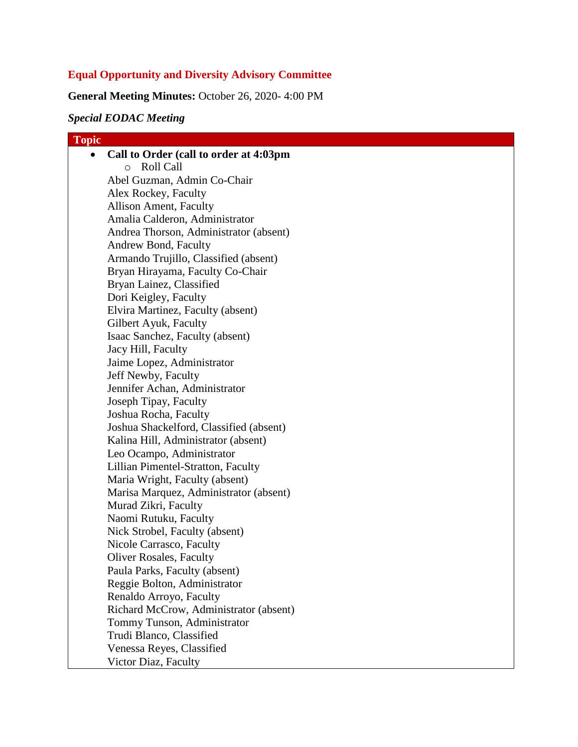# **Equal Opportunity and Diversity Advisory Committee**

**General Meeting Minutes:** October 26, 2020- 4:00 PM

# *Special EODAC Meeting*

| <b>Topic</b> |                                         |
|--------------|-----------------------------------------|
|              | Call to Order (call to order at 4:03pm  |
|              | Roll Call<br>$\circ$                    |
|              | Abel Guzman, Admin Co-Chair             |
|              | Alex Rockey, Faculty                    |
|              | Allison Ament, Faculty                  |
|              | Amalia Calderon, Administrator          |
|              | Andrea Thorson, Administrator (absent)  |
|              | Andrew Bond, Faculty                    |
|              | Armando Trujillo, Classified (absent)   |
|              | Bryan Hirayama, Faculty Co-Chair        |
|              | Bryan Lainez, Classified                |
|              | Dori Keigley, Faculty                   |
|              | Elvira Martinez, Faculty (absent)       |
|              | Gilbert Ayuk, Faculty                   |
|              | Isaac Sanchez, Faculty (absent)         |
|              | Jacy Hill, Faculty                      |
|              | Jaime Lopez, Administrator              |
|              | Jeff Newby, Faculty                     |
|              | Jennifer Achan, Administrator           |
|              | Joseph Tipay, Faculty                   |
|              | Joshua Rocha, Faculty                   |
|              | Joshua Shackelford, Classified (absent) |
|              | Kalina Hill, Administrator (absent)     |
|              | Leo Ocampo, Administrator               |
|              | Lillian Pimentel-Stratton, Faculty      |
|              | Maria Wright, Faculty (absent)          |
|              | Marisa Marquez, Administrator (absent)  |
|              | Murad Zikri, Faculty                    |
|              | Naomi Rutuku, Faculty                   |
|              | Nick Strobel, Faculty (absent)          |
|              | Nicole Carrasco, Faculty                |
|              | <b>Oliver Rosales, Faculty</b>          |
|              | Paula Parks, Faculty (absent)           |
|              | Reggie Bolton, Administrator            |
|              | Renaldo Arroyo, Faculty                 |
|              | Richard McCrow, Administrator (absent)  |
|              | Tommy Tunson, Administrator             |
|              | Trudi Blanco, Classified                |
|              | Venessa Reyes, Classified               |
|              | Victor Diaz, Faculty                    |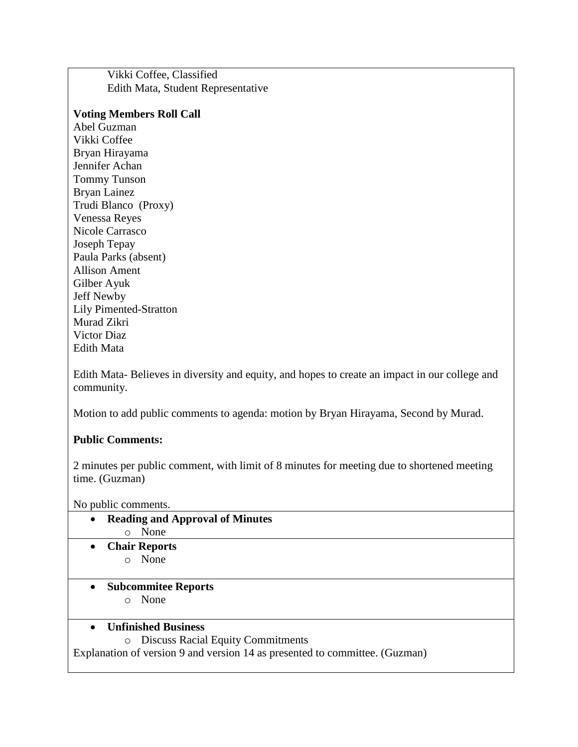Vikki Coffee, Classified Edith Mata, Student Representative

#### **Voting Members Roll Call**

Abel Guzman Vikki Coffee Bryan Hirayama Jennifer Achan Tommy Tunson Bryan Lainez Trudi Blanco (Proxy) Venessa Reyes Nicole Carrasco Joseph Tepay Paula Parks (absent) Allison Ament Gilber Ayuk Jeff Newby Lily Pimented-Stratton Murad Zikri Victor Diaz Edith Mata

Edith Mata- Believes in diversity and equity, and hopes to create an impact in our college and community.

Motion to add public comments to agenda: motion by Bryan Hirayama, Second by Murad.

### **Public Comments:**

2 minutes per public comment, with limit of 8 minutes for meeting due to shortened meeting time. (Guzman)

No public comments.

- **Reading and Approval of Minutes** o None **Chair Reports** o None
	- **Subcommitee Reports** o None

### **Unfinished Business**

o Discuss Racial Equity Commitments

Explanation of version 9 and version 14 as presented to committee. (Guzman)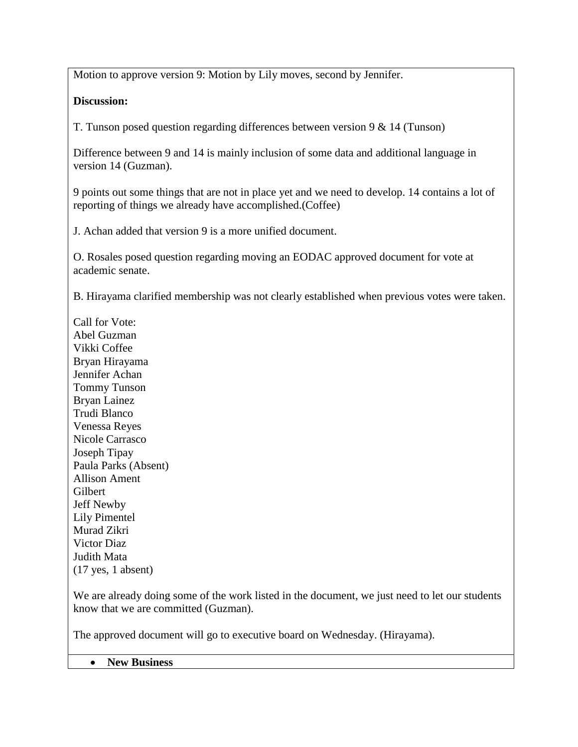Motion to approve version 9: Motion by Lily moves, second by Jennifer.

## **Discussion:**

T. Tunson posed question regarding differences between version 9 & 14 (Tunson)

Difference between 9 and 14 is mainly inclusion of some data and additional language in version 14 (Guzman).

9 points out some things that are not in place yet and we need to develop. 14 contains a lot of reporting of things we already have accomplished.(Coffee)

J. Achan added that version 9 is a more unified document.

O. Rosales posed question regarding moving an EODAC approved document for vote at academic senate.

B. Hirayama clarified membership was not clearly established when previous votes were taken.

Call for Vote: Abel Guzman Vikki Coffee Bryan Hirayama Jennifer Achan Tommy Tunson Bryan Lainez Trudi Blanco Venessa Reyes Nicole Carrasco Joseph Tipay Paula Parks (Absent) Allison Ament Gilbert Jeff Newby Lily Pimentel Murad Zikri Victor Diaz Judith Mata (17 yes, 1 absent)

We are already doing some of the work listed in the document, we just need to let our students know that we are committed (Guzman).

The approved document will go to executive board on Wednesday. (Hirayama).

**New Business**